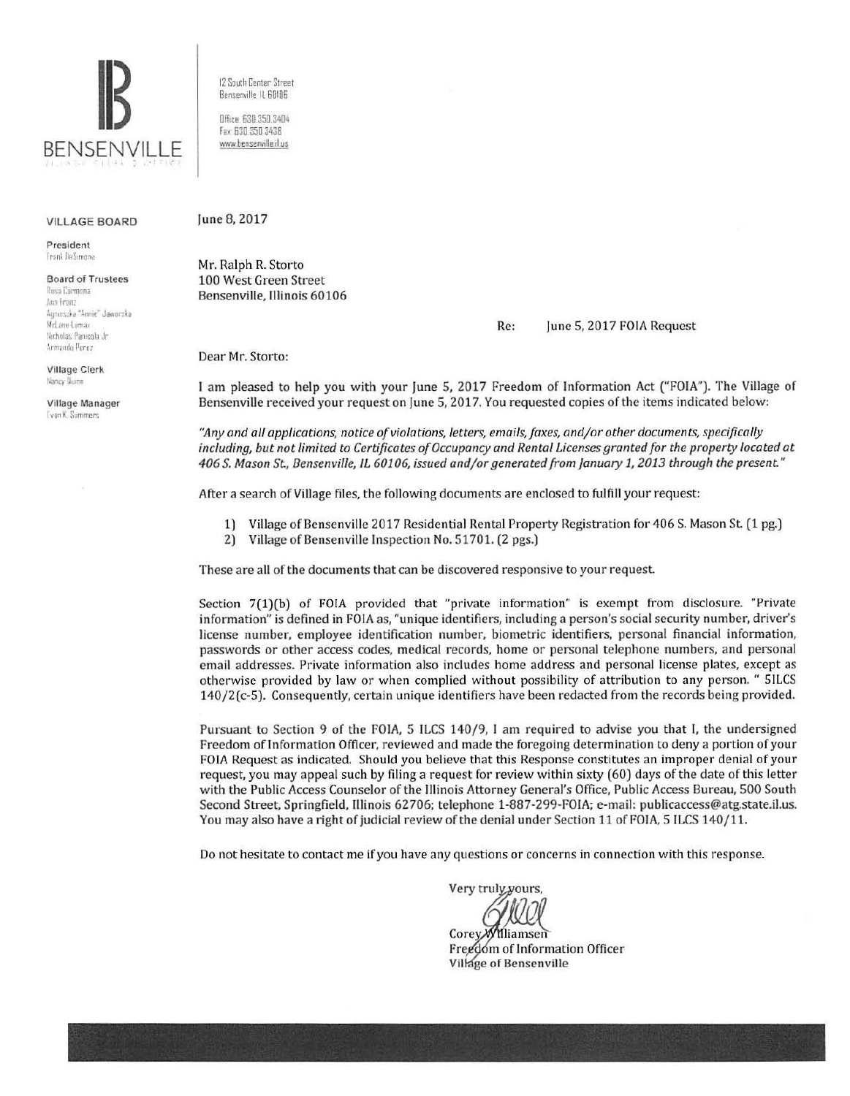

#### **VILLAGE BOARD**

President Frank DaSymone

**Board of Trustees** 

Rosa Carmona Ann Franz Agneszka "Annie" Jaworska McLane Lomax Notholas Panienla Jr Armando Perez

**Village Clerk** Nancy Duinn

Village Manager **Tvan K. Summers** 

12 South Center Street Bensenville, IL 60106

Dffice, 630 350 3404 Fax: 630.350.3438 www.bensenville.il.us

#### June 8, 2017

Mr. Ralph R. Storto 100 West Green Street Bensenville. Illinois 60106

> Re: June 5, 2017 FOIA Request

Dear Mr. Storto:

I am pleased to help you with your June 5, 2017 Freedom of Information Act ("FOIA"). The Village of Bensenville received your request on June 5, 2017. You requested copies of the items indicated below:

"Any and all applications, notice of violations, letters, emails, faxes, and/or other documents, specifically including, but not limited to Certificates of Occupancy and Rental Licenses granted for the property located at 406 S. Mason St., Bensenville, IL 60106, issued and/or generated from January 1, 2013 through the present."

After a search of Village files, the following documents are enclosed to fulfill your request:

- 1) Village of Bensenville 2017 Residential Rental Property Registration for 406 S. Mason St. (1 pg.)
- 2) Village of Bensenville Inspection No. 51701. (2 pgs.)

These are all of the documents that can be discovered responsive to your request.

Section 7(1)(b) of FOIA provided that "private information" is exempt from disclosure. "Private information" is defined in FOIA as, "unique identifiers, including a person's social security number, driver's license number, employee identification number, biometric identifiers, personal financial information, passwords or other access codes, medical records, home or personal telephone numbers, and personal email addresses. Private information also includes home address and personal license plates, except as otherwise provided by law or when complied without possibility of attribution to any person. " SILCS 140/2(c-5). Consequently, certain unique identifiers have been redacted from the records being provided.

Pursuant to Section 9 of the FOIA, 5 ILCS 140/9, I am required to advise you that I, the undersigned Freedom of Information Officer, reviewed and made the foregoing determination to deny a portion of your FOIA Request as indicated. Should you believe that this Response constitutes an improper denial of your request, you may appeal such by filing a request for review within sixty (60) days of the date of this letter with the Public Access Counselor of the Illinois Attorney General's Office, Public Access Bureau, 500 South Second Street, Springfield, Illinois 62706; telephone 1-887-299-FOIA; e-mail: publicaccess@atg.state.il.us. You may also have a right of judicial review of the denial under Section 11 of FOIA, 5 ILCS 140/11.

Do not hesitate to contact me if you have any questions or concerns in connection with this response.

Very truly yours,

Corey Williamsen Freedom of Information Officer Village of Bensenville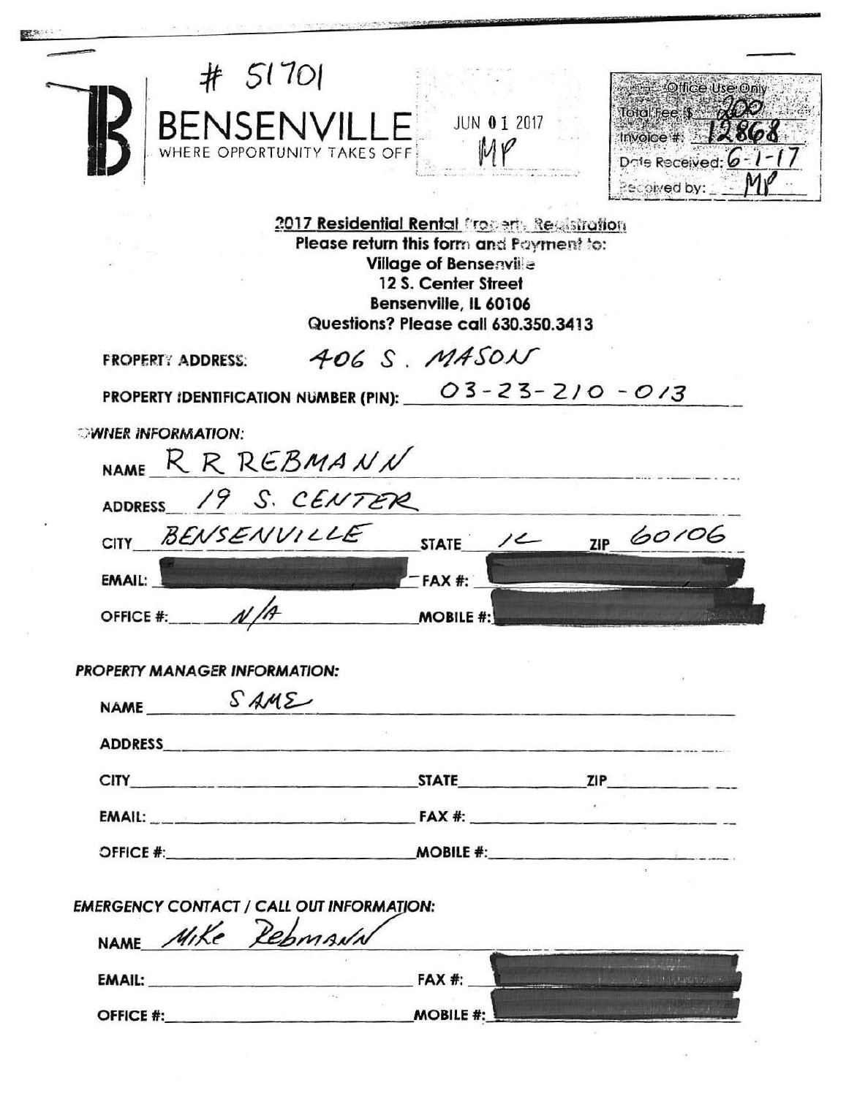| # 51701<br>BENSENVILLE<br>WHERE OPPORTUNITY TAKES OFF             | JUN 01 2017                                                                                                                                                                                                                    | Office Use Only<br>lotal fee $s = \cancel{200}$<br><b>Invoice # 12868</b><br>Date Received: 6-1-<br>Pecpived by: |
|-------------------------------------------------------------------|--------------------------------------------------------------------------------------------------------------------------------------------------------------------------------------------------------------------------------|------------------------------------------------------------------------------------------------------------------|
|                                                                   | 2017 Residential Rental Frogerty Registration<br>Please return this form and Payment to:<br><b>Village of Bensenville</b><br>12 S. Center Street<br>Bensenville, IL 60106<br>Questions? Please call 630.350.3413               |                                                                                                                  |
| <b>FROPERTY ADDRESS:</b>                                          | 406 S. MASON                                                                                                                                                                                                                   |                                                                                                                  |
| <b>PROPERTY IDENTIFICATION NUMBER (PIN):</b>                      |                                                                                                                                                                                                                                | $03 - 23 - 210 - 013$                                                                                            |
| <b><i>SWNER INFORMATION:</i></b><br>NAME R R REBMANN              |                                                                                                                                                                                                                                |                                                                                                                  |
| ADDRESS 19 S. CENTER                                              |                                                                                                                                                                                                                                |                                                                                                                  |
| BENSENVILLE<br><b>CITY</b>                                        | <b>STATE</b>                                                                                                                                                                                                                   | ZIP 60106                                                                                                        |
| <b>EMAIL:</b>                                                     | <b>FAX#:</b>                                                                                                                                                                                                                   |                                                                                                                  |
| N/A<br>OFFICE #:                                                  | <b>MOBILE #:</b>                                                                                                                                                                                                               |                                                                                                                  |
| <b>PROPERTY MANAGER INFORMATION:</b><br>NAME SAME                 | ADDRESS AND AREA AND A CONTROL CONTROL CONTROL CONTROL CONTROL CONTROL CONTROL CONTROL CONTROL CONTROL CONTROL CONTROL CONTROL CONTROL CONTROL CONTROL CONTROL CONTROL CONTROL CONTROL CONTROL CONTROL CONTROL CONTROL CONTROL | a provided for the first and results are a state of the company of the control of the control of the control of  |
|                                                                   |                                                                                                                                                                                                                                |                                                                                                                  |
|                                                                   |                                                                                                                                                                                                                                |                                                                                                                  |
|                                                                   |                                                                                                                                                                                                                                |                                                                                                                  |
|                                                                   |                                                                                                                                                                                                                                |                                                                                                                  |
| NAME Mike RebMANN                                                 |                                                                                                                                                                                                                                |                                                                                                                  |
| <b>EMERGENCY CONTACT / CALL OUT INFORMATION:</b><br>EMAIL: EMAIL: | <b>FAX #:</b>                                                                                                                                                                                                                  | 10.000 中国大学的人 对于全元前的人                                                                                            |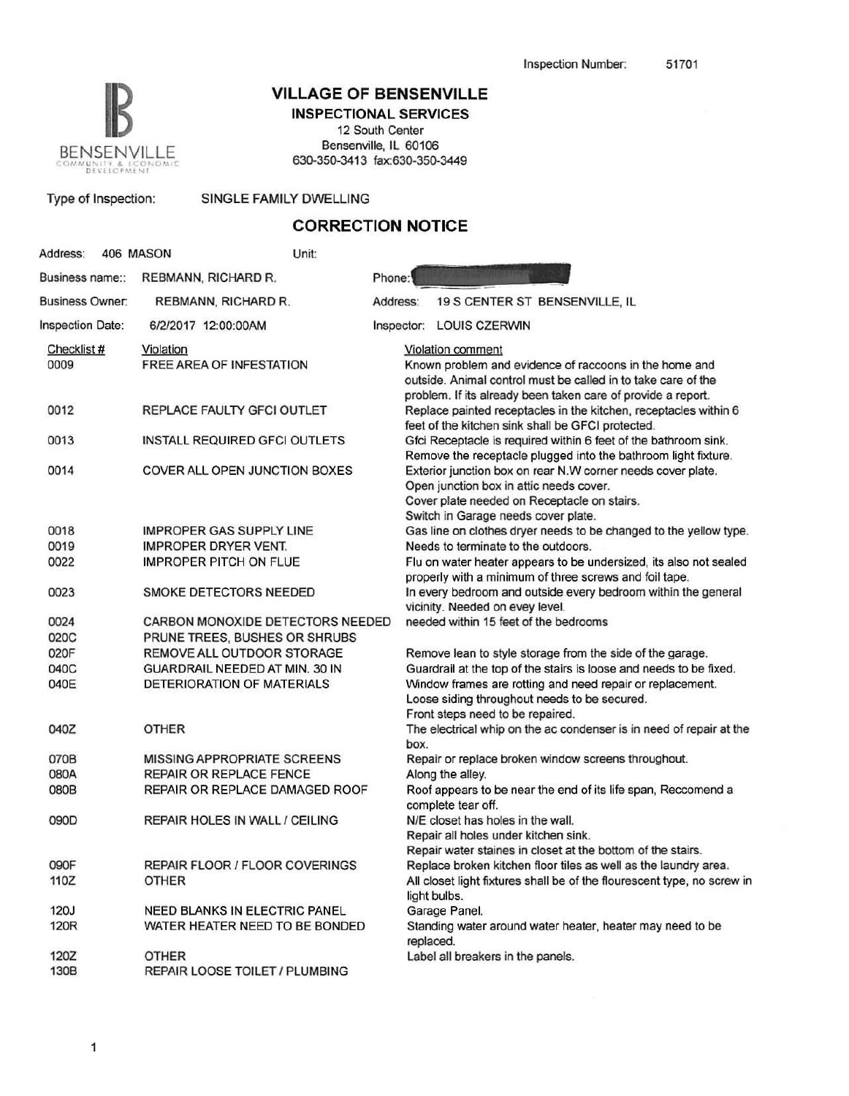

Type of Inspection: SINGLE FAMILY DWELLING

## **IB VILLAGE OF BENSENVILLE**

**INSPECTIONAL SERVICES**  12 South Center Bensenville, IL 60106

| <b>CORRECTION NOTICE</b> |                                       |        |                                                                                                                                                                                                              |  |  |
|--------------------------|---------------------------------------|--------|--------------------------------------------------------------------------------------------------------------------------------------------------------------------------------------------------------------|--|--|
| Address:                 | 406 MASON                             | Unit:  |                                                                                                                                                                                                              |  |  |
| Business name::          | REBMANN, RICHARD R.                   | Phone: |                                                                                                                                                                                                              |  |  |
| <b>Business Owner:</b>   | REBMANN, RICHARD R.                   |        | 19 S CENTER ST BENSENVILLE, IL<br>Address:                                                                                                                                                                   |  |  |
| Inspection Date:         | 6/2/2017 12:00:00AM                   |        | Inspector: LOUIS CZERWIN                                                                                                                                                                                     |  |  |
| Checklist #<br>0009      | Violation<br>FREE AREA OF INFESTATION |        | Violation comment<br>Known problem and evidence of raccoons in the home and<br>outside. Animal control must be called in to take care of the<br>problem. If its already been taken care of provide a report. |  |  |
| 0012                     | REPLACE FAULTY GFCI OUTLET            |        | Replace painted receptacles in the kitchen, receptacles within 6<br>feet of the kitchen sink shall be GFCI protected.                                                                                        |  |  |
| 0013                     | INSTALL REQUIRED GFCI OUTLETS         |        | Gfci Receptacle is required within 6 feet of the bathroom sink.<br>Remove the receptacle plugged into the bathroom light fixture.                                                                            |  |  |
| 0014                     | COVER ALL OPEN JUNCTION BOXES         |        | Exterior junction box on rear N.W corner needs cover plate.<br>Open junction box in attic needs cover.<br>Cover plate needed on Receptacle on stairs.<br>Switch in Garage needs cover plate.                 |  |  |
| 0018                     | <b>IMPROPER GAS SUPPLY LINE</b>       |        | Gas line on clothes dryer needs to be changed to the yellow type.                                                                                                                                            |  |  |
| 0019                     | <b>IMPROPER DRYER VENT.</b>           |        | Needs to terminate to the outdoors.                                                                                                                                                                          |  |  |
| 0022                     | <b>IMPROPER PITCH ON FLUE</b>         |        | Flu on water heater appears to be undersized, its also not sealed<br>properly with a minimum of three screws and foil tape.                                                                                  |  |  |
| 0023                     | SMOKE DETECTORS NEEDED                |        | In every bedroom and outside every bedroom within the general<br>vicinity. Needed on evey level.                                                                                                             |  |  |
| 0024                     | CARBON MONOXIDE DETECTORS NEEDED      |        | needed within 15 feet of the bedrooms                                                                                                                                                                        |  |  |
| 020C                     | PRUNE TREES, BUSHES OR SHRUBS         |        |                                                                                                                                                                                                              |  |  |
| 020F                     | REMOVE ALL OUTDOOR STORAGE            |        | Remove lean to style storage from the side of the garage.                                                                                                                                                    |  |  |
| 040C                     | GUARDRAIL NEEDED AT MIN. 30 IN        |        | Guardrail at the top of the stairs is loose and needs to be fixed.                                                                                                                                           |  |  |
| 040E                     | DETERIORATION OF MATERIALS            |        | Window frames are rotting and need repair or replacement.<br>Loose siding throughout needs to be secured.<br>Front steps need to be repaired.                                                                |  |  |
| 040Z                     | <b>OTHER</b>                          |        | The electrical whip on the ac condenser is in need of repair at the<br>box.                                                                                                                                  |  |  |
| 070B                     | <b>MISSING APPROPRIATE SCREENS</b>    |        | Repair or replace broken window screens throughout.                                                                                                                                                          |  |  |
| 080A                     | <b>REPAIR OR REPLACE FENCE</b>        |        | Along the alley.                                                                                                                                                                                             |  |  |
| 080B                     | REPAIR OR REPLACE DAMAGED ROOF        |        | Roof appears to be near the end of its life span, Reccomend a<br>complete tear off.                                                                                                                          |  |  |
| 090D                     | REPAIR HOLES IN WALL / CEILING        |        | N/E closet has holes in the wall.<br>Repair all holes under kitchen sink.<br>Repair water staines in closet at the bottom of the stairs.                                                                     |  |  |
| 090F                     | REPAIR FLOOR / FLOOR COVERINGS        |        | Replace broken kitchen floor tiles as well as the laundry area.                                                                                                                                              |  |  |
| 110Z                     | <b>OTHER</b>                          |        | All closet light fixtures shall be of the flourescent type, no screw in<br>light bulbs.                                                                                                                      |  |  |
| <b>120J</b>              | <b>NEED BLANKS IN ELECTRIC PANEL</b>  |        | Garage Panel.                                                                                                                                                                                                |  |  |
| 120R                     | WATER HEATER NEED TO BE BONDED        |        | Standing water around water heater, heater may need to be<br>replaced.                                                                                                                                       |  |  |

Label all breakers in the panels.

1202 OTHER

130B REPAIR LOOSE TOILET / PLUMBING